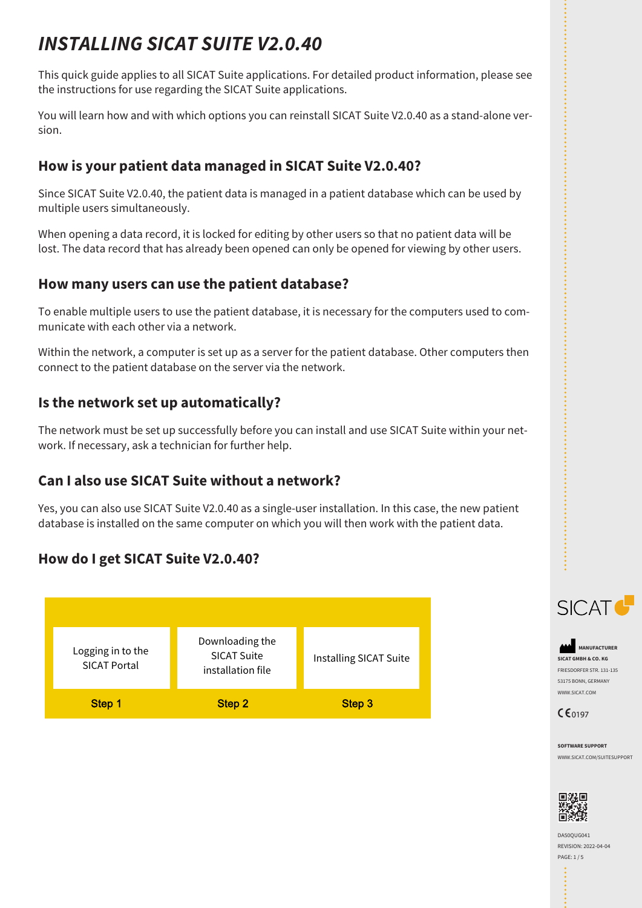# *INSTALLING SICAT SUITE V2.0.40*

This quick guide applies to all SICAT Suite applications. For detailed product information, please see the instructions for use regarding the SICAT Suite applications.

You will learn how and with which options you can reinstall SICAT Suite V2.0.40 as a stand-alone version.

# **How is your patient data managed in SICAT Suite V2.0.40?**

Since SICAT Suite V2.0.40, the patient data is managed in a patient database which can be used by multiple users simultaneously.

When opening a data record, it is locked for editing by other users so that no patient data will be lost. The data record that has already been opened can only be opened for viewing by other users.

#### **How many users can use the patient database?**

To enable multiple users to use the patient database, it is necessary for the computers used to communicate with each other via a network.

Within the network, a computer is set up as a server for the patient database. Other computers then connect to the patient database on the server via the network.

#### **Is the network set up automatically?**

The network must be set up successfully before you can install and use SICAT Suite within your network. If necessary, ask a technician for further help.

### **Can I also use SICAT Suite without a network?**

Yes, you can also use SICAT Suite V2.0.40 as a single-user installation. In this case, the new patient database is installed on the same computer on which you will then work with the patient data.

# **How do I get SICAT Suite V2.0.40?**





**MANUFACTURER SICAT GMBH & CO. KG** FRIESDORFER STR. 131-135 53175 BONN, GERMANY WWW.SICAT.COM



**SOFTWARE SUPPORT** WWW.SICAT.COM/SUITESUPPORT



DA50QUG041 REVISION: 2022-04-04 PAGE: 1 / 5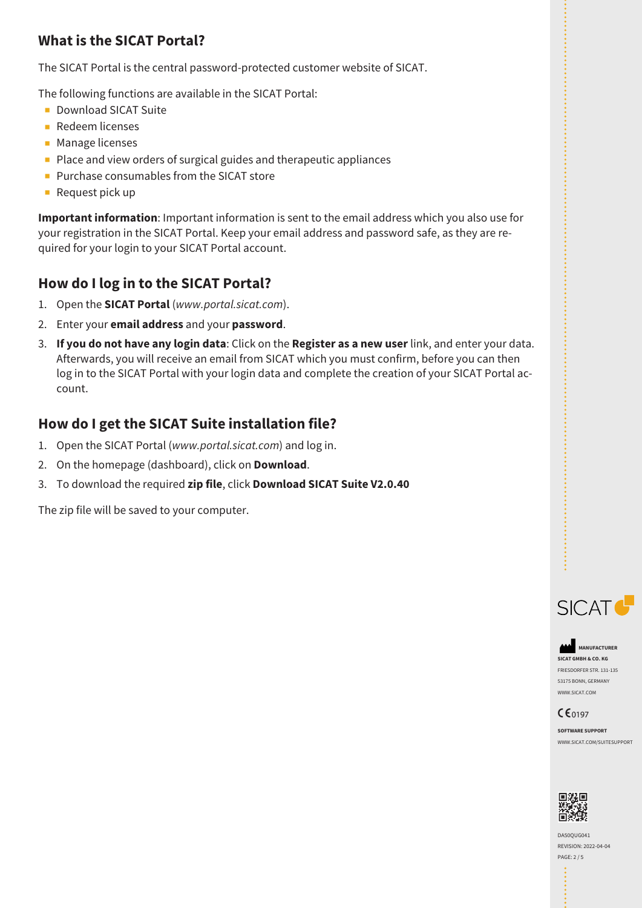# **What is the SICAT Portal?**

The SICAT Portal is the central password-protected customer website of SICAT.

The following functions are available in the SICAT Portal:

- Download SICAT Suite
- Redeem licenses
- Manage licenses
- Place and view orders of surgical guides and therapeutic appliances
- Purchase consumables from the SICAT store
- Request pick up

**Important information**: Important information is sent to the email address which you also use for your registration in the SICAT Portal. Keep your email address and password safe, as they are required for your login to your SICAT Portal account.

#### **How do I log in to the SICAT Portal?**

- 1. Open the **SICAT Portal** (*www.portal.sicat.com*).
- 2. Enter your **email address** and your **password**.
- 3. **If you do not have any login data**: Click on the **Register as a new user** link, and enter your data. Afterwards, you will receive an email from SICAT which you must confirm, before you can then log in to the SICAT Portal with your login data and complete the creation of your SICAT Portal account.

# **How do I get the SICAT Suite installation file?**

- 1. Open the SICAT Portal (*www.portal.sicat.com*) and log in.
- 2. On the homepage (dashboard), click on **Download**.
- 3. To download the required **zip file**, click **Download SICAT Suite V2.0.40**

The zip file will be saved to your computer.



**MANUFACTURER SICAT GMBH & CO. KG** FRIESDORFER STR. 131-135 53175 BONN, GERMANY WWW.SICAT.COM



**SOFTWARE SUPPORT** WWW.SICAT.COM/SUITESUPPORT



DA50QUG041 REVISION: 2022-04-04 PAGE: 2 / 5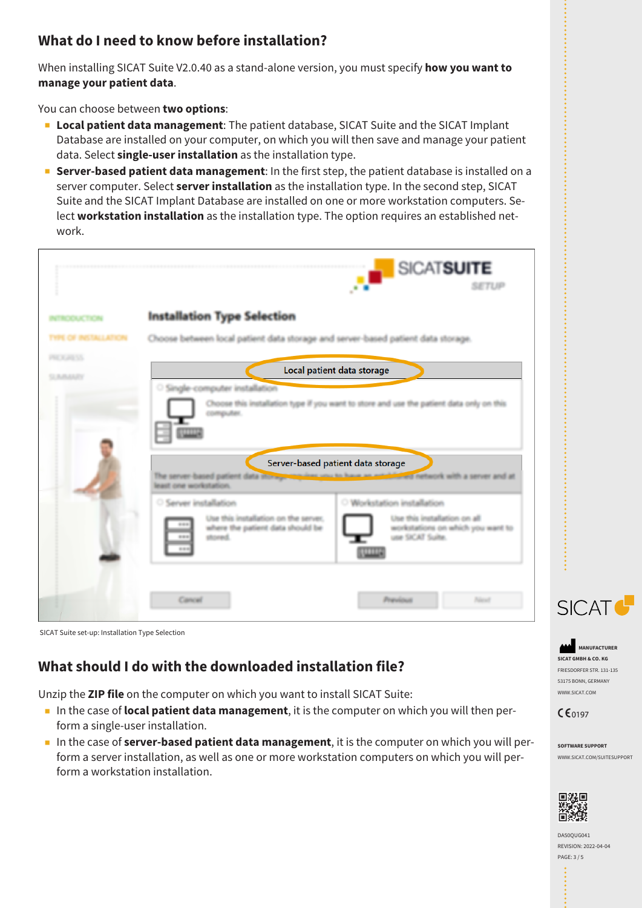# **What do I need to know before installation?**

When installing SICAT Suite V2.0.40 as a stand-alone version, you must specify **how you want to manage your patient data**.

You can choose between **two options**:

- **Local patient data management**: The patient database, SICAT Suite and the SICAT Implant Database are installed on your computer, on which you will then save and manage your patient data. Select **single-user installation** as the installation type.
- **Server-based patient data management**: In the first step, the patient database is installed on a server computer. Select **server installation** as the installation type. In the second step, SICAT Suite and the SICAT Implant Database are installed on one or more workstation computers. Select **workstation installation** as the installation type. The option requires an established network.

|                                                                                                          |                                                                                                                                                                                                                       | SICATSUITE<br><b>SETUP</b>                                                                                                |
|----------------------------------------------------------------------------------------------------------|-----------------------------------------------------------------------------------------------------------------------------------------------------------------------------------------------------------------------|---------------------------------------------------------------------------------------------------------------------------|
| VERODUCTION                                                                                              | <b>Installation Type Selection</b>                                                                                                                                                                                    |                                                                                                                           |
| Choose between local patient data storage and server-based patient data storage.<br><b>TYPE CIF INST</b> |                                                                                                                                                                                                                       |                                                                                                                           |
| PRESERVA<br><b>SUBJECTY</b>                                                                              | Local patient data storage                                                                                                                                                                                            |                                                                                                                           |
|                                                                                                          | Single-computer installation<br>computer.<br>Server-based patient data storage<br>The server-based patient data into approval last unit to have an established network with a server and at<br>least one workstation. | Choose this installation type if you want to store and use the patient data only on this                                  |
|                                                                                                          | Server installation<br>Use this installation on the server.<br>where the patient data should be<br>stored.<br>40.46<br><b>ERR</b>                                                                                     | O Workstation installation<br>Use this installation on all<br>workstations on which you want to<br>use SICAT Suite.<br>ww |
|                                                                                                          | Cancel                                                                                                                                                                                                                | Previous<br>New                                                                                                           |



# **What should I do with the downloaded installation file?**

Unzip the **ZIP file** on the computer on which you want to install SICAT Suite:

- In the case of **local patient data management**, it is the computer on which you will then perform a single-user installation.
- In the case of **server-based patient data management**, it is the computer on which you will perform a server installation, as well as one or more workstation computers on which you will perform a workstation installation.



**MANUFACTURER SICAT GMBH & CO. KG** FRIESDORFER STR. 131-135 53175 BONN, GERMANY WWW.SICAT.COM

 $C \epsilon_{0197}$ 

**SOFTWARE SUPPORT** WWW.SICAT.COM/SUITESUPPORT



DA50QUG041 REVISION: 2022-04-04 PAGE: 3 / 5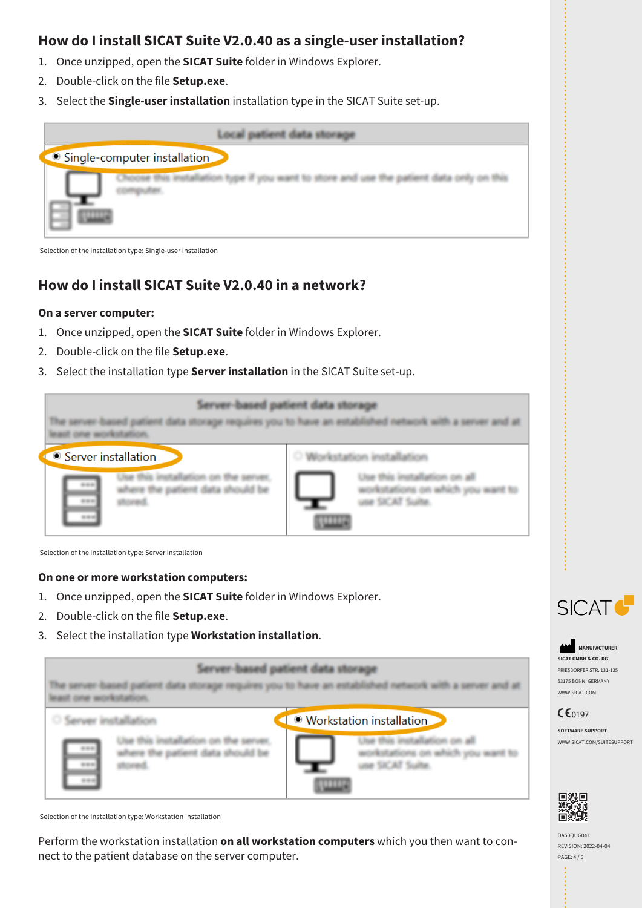#### **How do I install SICAT Suite V2.0.40 as a single-user installation?**

- 1. Once unzipped, open the **SICAT Suite** folder in Windows Explorer.
- 2. Double-click on the file **Setup.exe**.
- 3. Select the **Single-user installation** installation type in the SICAT Suite set-up.



Selection of the installation type: Single-user installation

# **How do I install SICAT Suite V2.0.40 in a network?**

#### **On a server computer:**

- 1. Once unzipped, open the **SICAT Suite** folder in Windows Explorer.
- 2. Double-click on the file **Setup.exe**.
- 3. Select the installation type **Server installation** in the SICAT Suite set-up.



Selection of the installation type: Server installation

#### **On one or more workstation computers:**

- 1. Once unzipped, open the **SICAT Suite** folder in Windows Explorer.
- 2. Double-click on the file **Setup.exe**.
- 3. Select the installation type **Workstation installation**.

Server-based patient data storage The server-based patient data storage requires you to have an established network with a server and at least one workstation. · Workstation installation ○ Server installation Use this installation on all Use this installation on the server. workstations on which you want to where the patient data should be use SICAT Suite. stored.

Selection of the installation type: Workstation installation

Perform the workstation installation **on all workstation computers** which you then want to connect to the patient database on the server computer.



**MANUFACTURER SICAT GMBH & CO. KG** FRIESDORFER STR. 131-135 53175 BONN, GERMANY WWW.SICAT.COM

#### $CE_{0197}$

**SOFTWARE SUPPORT** WWW.SICAT.COM/SUITESUPPORT



DA50QUG041 REVISION: 2022-04-04 PAGE: 4 / 5